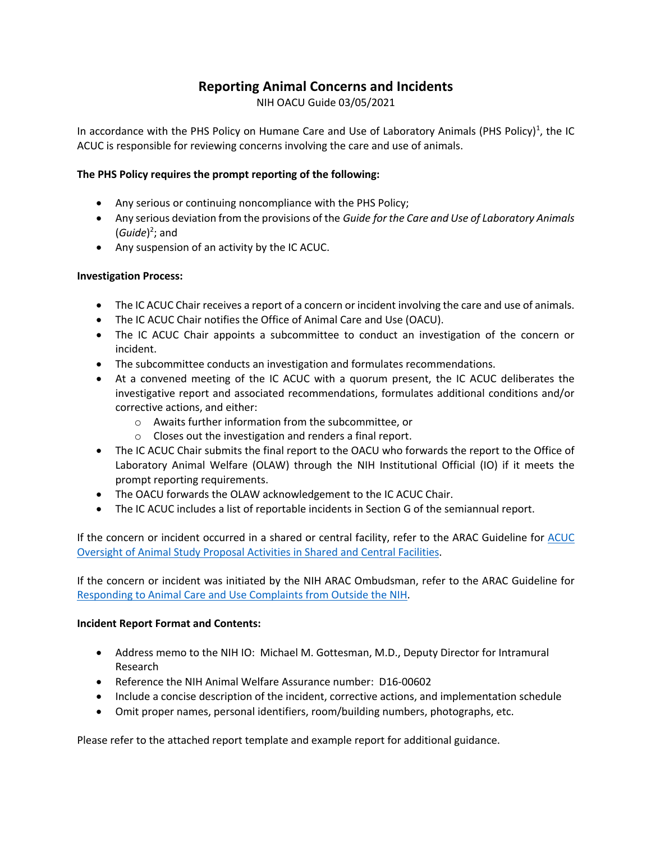# **Reporting Animal Concerns and Incidents**

NIH OACU Guide 03/05/2021

In accordance with the PHS Policy on Humane Care and Use of Laboratory Animals (PHS Policy)<sup>1</sup>, the IC ACUC is responsible for reviewing concerns involving the care and use of animals.

### **The PHS Policy requires the prompt reporting of the following:**

- Any serious or continuing noncompliance with the PHS Policy;
- Any serious deviation from the provisions of the *Guide for the Care and Use of Laboratory Animals* (*Guide*) 2 ; and
- Any suspension of an activity by the IC ACUC.

#### **Investigation Process:**

- The IC ACUC Chair receives a report of a concern or incident involving the care and use of animals.
- The IC ACUC Chair notifies the Office of Animal Care and Use (OACU).
- The IC ACUC Chair appoints a subcommittee to conduct an investigation of the concern or incident.
- The subcommittee conducts an investigation and formulates recommendations.
- At a convened meeting of the IC ACUC with a quorum present, the IC ACUC deliberates the investigative report and associated recommendations, formulates additional conditions and/or corrective actions, and either:
	- o Awaits further information from the subcommittee, or
	- o Closes out the investigation and renders a final report.
- The IC ACUC Chair submits the final report to the OACU who forwards the report to the Office of Laboratory Animal Welfare (OLAW) through the NIH Institutional Official (IO) if it meets the prompt reporting requirements.
- The OACU forwards the OLAW acknowledgement to the IC ACUC Chair.
- The IC ACUC includes a list of reportable incidents in Section G of the semiannual report.

If the concern or incident occurred in a shared or central facility, refer to the ARAC Guideline for ACUC Oversight of Animal Study Proposal Activities in Shared and Central Facilities.

If the concern or incident was initiated by the NIH ARAC Ombudsman, refer to the ARAC Guideline for Responding to Animal Care and Use Complaints from Outside the NIH.

#### **Incident Report Format and Contents:**

- Address memo to the NIH IO: Michael M. Gottesman, M.D., Deputy Director for Intramural Research
- Reference the NIH Animal Welfare Assurance number: D16-00602
- Include a concise description of the incident, corrective actions, and implementation schedule
- Omit proper names, personal identifiers, room/building numbers, photographs, etc.

Please refer to the attached report template and example report for additional guidance.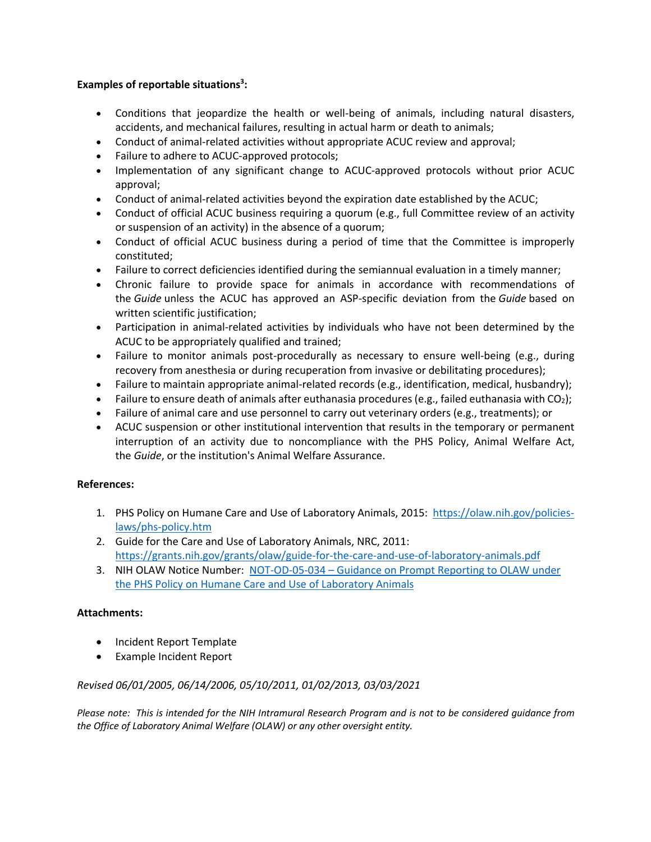### **Examples of reportable situations3 :**

- Conditions that jeopardize the health or well-being of animals, including natural disasters, accidents, and mechanical failures, resulting in actual harm or death to animals;
- Conduct of animal-related activities without appropriate ACUC review and approval;
- Failure to adhere to ACUC-approved protocols;
- Implementation of any significant change to ACUC-approved protocols without prior ACUC approval;
- Conduct of animal-related activities beyond the expiration date established by the ACUC;
- Conduct of official ACUC business requiring a quorum (e.g., full Committee review of an activity or suspension of an activity) in the absence of a quorum;
- Conduct of official ACUC business during a period of time that the Committee is improperly constituted;
- Failure to correct deficiencies identified during the semiannual evaluation in a timely manner;
- Chronic failure to provide space for animals in accordance with recommendations of the *Guide* unless the ACUC has approved an ASP-specific deviation from the *Guide* based on written scientific justification;
- Participation in animal-related activities by individuals who have not been determined by the ACUC to be appropriately qualified and trained;
- Failure to monitor animals post-procedurally as necessary to ensure well-being (e.g., during recovery from anesthesia or during recuperation from invasive or debilitating procedures);
- Failure to maintain appropriate animal-related records (e.g., identification, medical, husbandry);
- Failure to ensure death of animals after euthanasia procedures (e.g., failed euthanasia with  $CO<sub>2</sub>$ );
- Failure of animal care and use personnel to carry out veterinary orders (e.g., treatments); or
- ACUC suspension or other institutional intervention that results in the temporary or permanent interruption of an activity due to noncompliance with the PHS Policy, Animal Welfare Act, the *Guide*, or the institution's Animal Welfare Assurance.

# **References:**

- 1. PHS Policy on Humane Care and Use of Laboratory Animals, 2015: https://olaw.nih.gov/policieslaws/phs-policy.htm
- 2. Guide for the Care and Use of Laboratory Animals, NRC, 2011: https://grants.nih.gov/grants/olaw/guide-for-the-care-and-use-of-laboratory-animals.pdf
- 3. NIH OLAW Notice Number: NOT-OD-05-034 Guidance on Prompt Reporting to OLAW under the PHS Policy on Humane Care and Use of Laboratory Animals

# **Attachments:**

- Incident Report Template
- Example Incident Report

# *Revised 06/01/2005, 06/14/2006, 05/10/2011, 01/02/2013, 03/03/2021*

*Please note: This is intended for the NIH Intramural Research Program and is not to be considered guidance from the Office of Laboratory Animal Welfare (OLAW) or any other oversight entity.*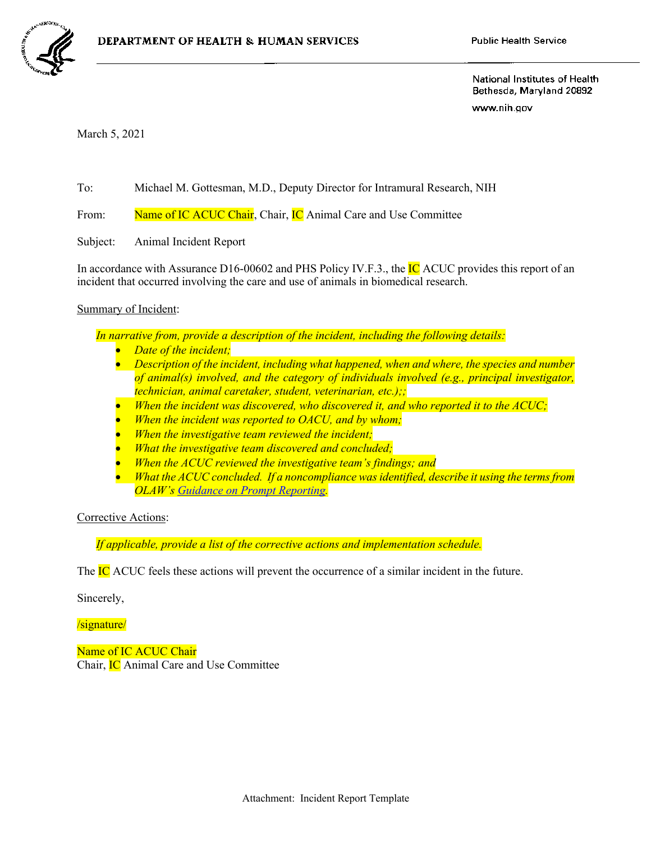

National Institutes of Health Bethesda, Maryland 20892

www.nih.gov

March 5, 2021

To: Michael M. Gottesman, M.D., Deputy Director for Intramural Research, NIH

From: Name of IC ACUC Chair, Chair, IC Animal Care and Use Committee

Subject: Animal Incident Report

In accordance with Assurance D16-00602 and PHS Policy IV.F.3., the **IC** ACUC provides this report of an incident that occurred involving the care and use of animals in biomedical research.

Summary of Incident:

*In narrative from, provide a description of the incident, including the following details:*

- *Date of the incident;*
- *Description of the incident, including what happened, when and where, the species and number of animal(s) involved, and the category of individuals involved (e.g., principal investigator, technician, animal caretaker, student, veterinarian, etc.);;*
- *When the incident was discovered, who discovered it, and who reported it to the ACUC;*
- *When the incident was reported to OACU, and by whom;*
- *When the investigative team reviewed the incident;*
- *What the investigative team discovered and concluded;*
- *When the ACUC reviewed the investigative team's findings; and*
- *What the ACUC concluded. If a noncompliance was identified, describe it using the terms from OLAW's Guidance on Prompt Reporting.*

Corrective Actions:

*If applicable, provide a list of the corrective actions and implementation schedule.*

The IC ACUC feels these actions will prevent the occurrence of a similar incident in the future.

Sincerely,

/signature/

Name of IC ACUC Chair Chair, IC Animal Care and Use Committee